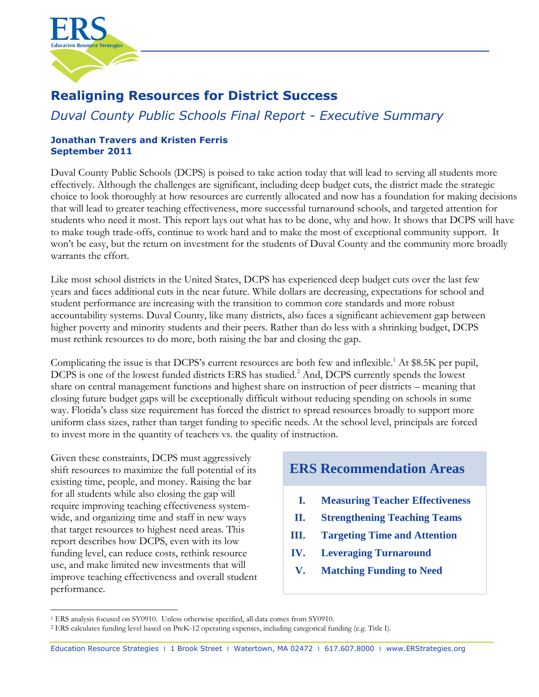

# **Realigning Resources for District Success**

# *Duval County Public Schools Final Report - Executive Summary*

# **Jonathan Travers and Kristen Ferris September 2011**

Duval County Public Schools (DCPS) is poised to take action today that will lead to serving all students more effectively. Although the challenges are significant, including deep budget cuts, the district made the strategic choice to look thoroughly at how resources are currently allocated and now has a foundation for making decisions that will lead to greater teaching effectiveness, more successful turnaround schools, and targeted attention for students who need it most. This report lays out what has to be done, why and how. It shows that DCPS will have to make tough trade-offs, continue to work hard and to make the most of exceptional community support. It won't be easy, but the return on investment for the students of Duval County and the community more broadly warrants the effort.

Like most school districts in the United States, DCPS has experienced deep budget cuts over the last few years and faces additional cuts in the near future. While dollars are decreasing, expectations for school and student performance are increasing with the transition to common core standards and more robust accountability systems. Duval County, like many districts, also faces a significant achievement gap between higher poverty and minority students and their peers. Rather than do less with a shrinking budget, DCPS must rethink resources to do more, both raising the bar and closing the gap.

Complicating the issue is that DCPS's current resources are both few and inflexible.<sup>1</sup> At \$8.5K per pupil, DCPS is one of the lowest funded districts ERS has studied.<sup>2</sup> And, DCPS currently spends the lowest share on central management functions and highest share on instruction of peer districts – meaning that closing future budget gaps will be exceptionally difficult without reducing spending on schools in some way. Florida's class size requirement has forced the district to spread resources broadly to support more uniform class sizes, rather than target funding to specific needs. At the school level, principals are forced to invest more in the quantity of teachers vs. the quality of instruction.

Given these constraints, DCPS must aggressively shift resources to maximize the full potential of its existing time, people, and money. Raising the bar for all students while also closing the gap will require improving teaching effectiveness systemwide, and organizing time and staff in new ways that target resources to highest need areas. This report describes how DCPS, even with its low funding level, can reduce costs, rethink resource use, and make limited new investments that will improve teaching effectiveness and overall student performance.

# **ERS Recommendation Areas**

- **I. Measuring Teacher Effectiveness**
- **II. Strengthening Teaching Teams**
- **III. Targeting Time and Attention**
- **IV. Leveraging Turnaround**
	- **V. Matching Funding to Need**

 $\overline{a}$ <sup>1</sup> ERS analysis focused on SY0910. Unless otherwise specified, all data comes from SY0910.

<sup>2</sup> ERS calculates funding level based on PreK-12 operating expenses, including categorical funding (e.g. Title I).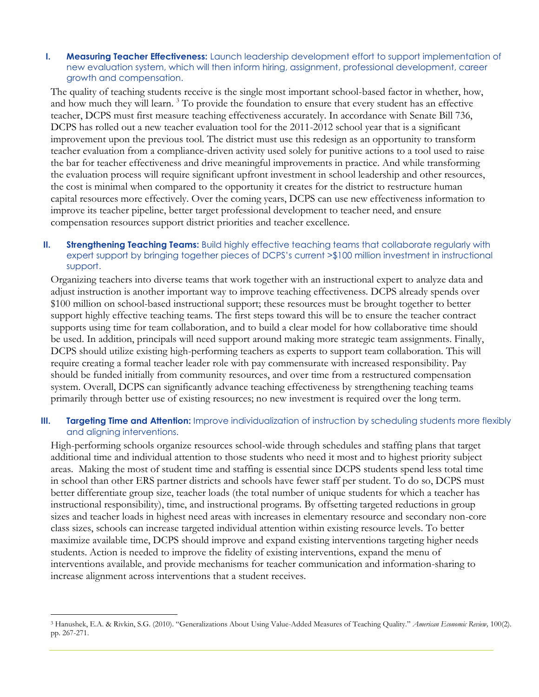#### **I. Measuring Teacher Effectiveness:** Launch leadership development effort to support implementation of new evaluation system, which will then inform hiring, assignment, professional development, career growth and compensation.

The quality of teaching students receive is the single most important school-based factor in whether, how, and how much they will learn.<sup>3</sup> To provide the foundation to ensure that every student has an effective teacher, DCPS must first measure teaching effectiveness accurately. In accordance with Senate Bill 736, DCPS has rolled out a new teacher evaluation tool for the 2011-2012 school year that is a significant improvement upon the previous tool. The district must use this redesign as an opportunity to transform teacher evaluation from a compliance-driven activity used solely for punitive actions to a tool used to raise the bar for teacher effectiveness and drive meaningful improvements in practice. And while transforming the evaluation process will require significant upfront investment in school leadership and other resources, the cost is minimal when compared to the opportunity it creates for the district to restructure human capital resources more effectively. Over the coming years, DCPS can use new effectiveness information to improve its teacher pipeline, better target professional development to teacher need, and ensure compensation resources support district priorities and teacher excellence.

#### **II. Strengthening Teaching Teams:** Build highly effective teaching teams that collaborate regularly with expert support by bringing together pieces of DCPS's current >\$100 million investment in instructional support.

Organizing teachers into diverse teams that work together with an instructional expert to analyze data and adjust instruction is another important way to improve teaching effectiveness. DCPS already spends over \$100 million on school-based instructional support; these resources must be brought together to better support highly effective teaching teams. The first steps toward this will be to ensure the teacher contract supports using time for team collaboration, and to build a clear model for how collaborative time should be used. In addition, principals will need support around making more strategic team assignments. Finally, DCPS should utilize existing high-performing teachers as experts to support team collaboration. This will require creating a formal teacher leader role with pay commensurate with increased responsibility. Pay should be funded initially from community resources, and over time from a restructured compensation system. Overall, DCPS can significantly advance teaching effectiveness by strengthening teaching teams primarily through better use of existing resources; no new investment is required over the long term.

### **III. Targeting Time and Attention:** Improve individualization of instruction by scheduling students more flexibly and aligning interventions.

High-performing schools organize resources school-wide through schedules and staffing plans that target additional time and individual attention to those students who need it most and to highest priority subject areas. Making the most of student time and staffing is essential since DCPS students spend less total time in school than other ERS partner districts and schools have fewer staff per student. To do so, DCPS must better differentiate group size, teacher loads (the total number of unique students for which a teacher has instructional responsibility), time, and instructional programs. By offsetting targeted reductions in group sizes and teacher loads in highest need areas with increases in elementary resource and secondary non-core class sizes, schools can increase targeted individual attention within existing resource levels. To better maximize available time, DCPS should improve and expand existing interventions targeting higher needs students. Action is needed to improve the fidelity of existing interventions, expand the menu of interventions available, and provide mechanisms for teacher communication and information-sharing to increase alignment across interventions that a student receives.

 $\overline{a}$ 

<sup>3</sup> Hanushek, E.A. & Rivkin, S.G. (2010). "Generalizations About Using Value-Added Measures of Teaching Quality." *American Economic Review,* 100(2). pp. 267-271.